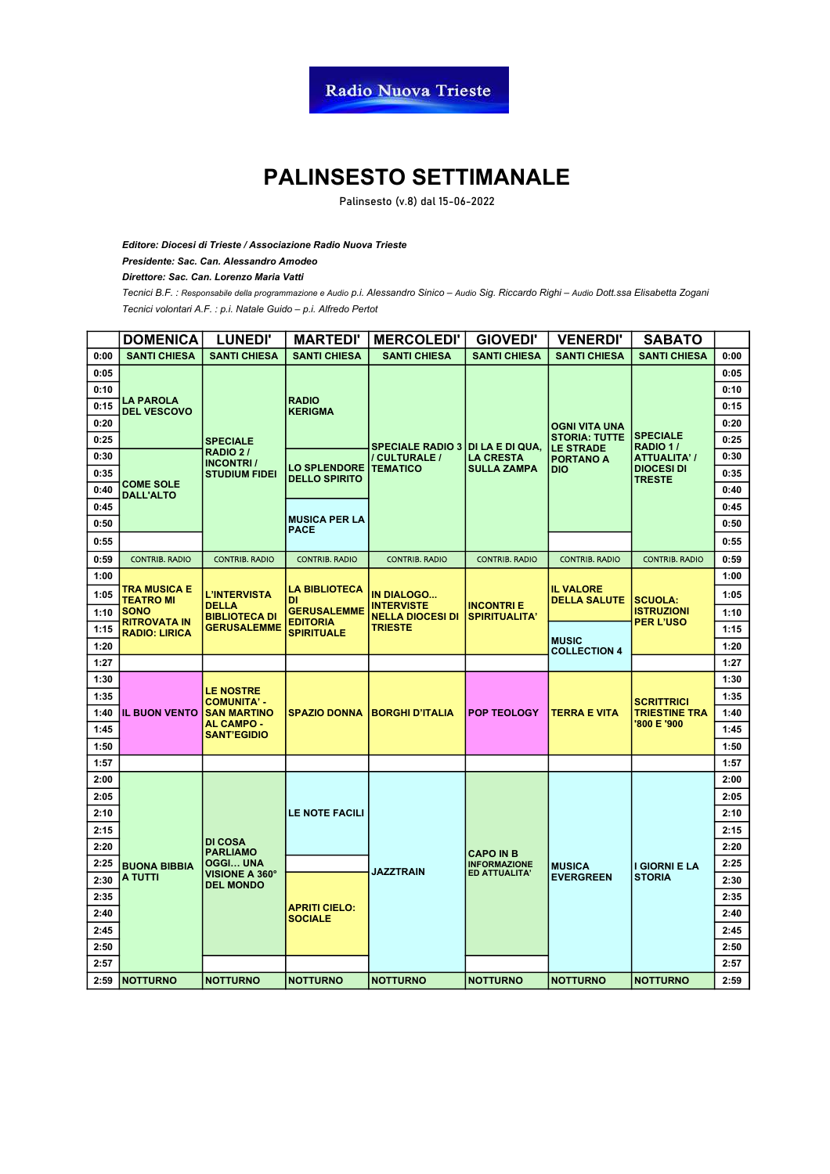#### **PALINSESTO SETTIMANALE**

**Palinsesto (v.8) dal 15-06-2022**

*Editore: Diocesi di Trieste / Associazione Radio Nuova Trieste*

*Presidente: Sac. Can. Alessandro Amodeo*

*Direttore: Sac. Can. Lorenzo Maria Vatti*

*Tecnici volontari A.F. : p.i. Natale Guido – p.i. Alfredo Pertot Tecnici B.F. : Responsabile della programmazione e Audio p.i. Alessandro Sinico – Audio Sig. Riccardo Righi – Audio Dott.ssa Elisabetta Zogani*

|      | <b>DOMENICA</b>                             | <b>LUNEDI'</b>                                    | <b>MARTEDI'</b>                                                                          | <b>MERCOLEDI'</b>                                                                   | <b>GIOVEDI'</b>                          | <b>VENERDI'</b>                         | <b>SABATO</b>                                            |      |  |      |
|------|---------------------------------------------|---------------------------------------------------|------------------------------------------------------------------------------------------|-------------------------------------------------------------------------------------|------------------------------------------|-----------------------------------------|----------------------------------------------------------|------|--|------|
| 0:00 | <b>SANTI CHIESA</b>                         | <b>SANTI CHIESA</b>                               | <b>SANTI CHIESA</b>                                                                      | <b>SANTI CHIESA</b>                                                                 | <b>SANTI CHIESA</b>                      | <b>SANTI CHIESA</b>                     | <b>SANTI CHIESA</b>                                      | 0:00 |  |      |
| 0:05 |                                             |                                                   |                                                                                          |                                                                                     |                                          |                                         |                                                          | 0:05 |  |      |
| 0:10 |                                             |                                                   |                                                                                          |                                                                                     |                                          |                                         |                                                          | 0:10 |  |      |
| 0:15 | <b>LA PAROLA</b><br><b>DEL VESCOVO</b>      | <b>RADIO</b><br><b>KERIGMA</b><br><b>SPECIALE</b> |                                                                                          |                                                                                     |                                          |                                         | 0:15                                                     |      |  |      |
| 0:20 |                                             |                                                   |                                                                                          | <b>SPECIALE RADIO 3   DI LA E DI QUA,</b>                                           |                                          | OGNI VITA UNA                           | <b>SPECIALE</b><br>RADIO 1/                              | 0:20 |  |      |
| 0:25 |                                             |                                                   |                                                                                          |                                                                                     |                                          | <b>STORIA: TUTTE</b>                    |                                                          | 0:25 |  |      |
| 0:30 |                                             | <b>RADIO 2/</b><br><b>INCONTRI/</b>               |                                                                                          | / CULTURALE /                                                                       | <b>LA CRESTA</b>                         | <b>LE STRADE</b><br><b>PORTANO A</b>    | <b>ATTUALITA' /</b>                                      | 0:30 |  |      |
| 0:35 |                                             | <b>STUDIUM FIDEI</b>                              | <b>LO SPLENDORE</b><br><b>DELLO SPIRITO</b>                                              | <b>TEMATICO</b>                                                                     | <b>SULLA ZAMPA</b>                       | DIO                                     | <b>DIOCESI DI</b><br><b>TRESTE</b>                       | 0:35 |  |      |
| 0:40 | <b>COME SOLE</b><br><b>DALL'ALTO</b>        |                                                   |                                                                                          |                                                                                     |                                          |                                         |                                                          | 0:40 |  |      |
| 0:45 |                                             |                                                   |                                                                                          |                                                                                     |                                          |                                         |                                                          | 0:45 |  |      |
| 0:50 |                                             |                                                   | <b>MUSICA PER LA</b><br><b>PACE</b>                                                      |                                                                                     |                                          |                                         |                                                          | 0:50 |  |      |
| 0:55 |                                             |                                                   |                                                                                          |                                                                                     |                                          |                                         |                                                          | 0:55 |  |      |
| 0:59 | <b>CONTRIB. RADIO</b>                       | <b>CONTRIB. RADIO</b>                             | <b>CONTRIB. RADIO</b>                                                                    | <b>CONTRIB. RADIO</b>                                                               | <b>CONTRIB. RADIO</b>                    | <b>CONTRIB. RADIO</b>                   | <b>CONTRIB. RADIO</b>                                    | 0:59 |  |      |
| 1:00 |                                             |                                                   |                                                                                          |                                                                                     |                                          |                                         |                                                          | 1:00 |  |      |
| 1:05 | TRA MUSICA E<br><b>TEATRO MI</b>            | L'INTERVISTA                                      | <b>LA BIBLIOTECA</b><br>DI<br><b>GERUSALEMME</b><br><b>EDITORIA</b><br><b>SPIRITUALE</b> | <b>IN DIALOGO</b><br><b>INTERVISTE</b><br><b>NELLA DIOCESI DI</b><br><b>TRIESTE</b> |                                          | <b>IL VALORE</b><br><b>DELLA SALUTE</b> | <b>SCUOLA:</b>                                           | 1:05 |  |      |
| 1:10 | <b>SONO</b>                                 | <b>DELLA</b><br><b>BIBLIOTECA DI</b>              |                                                                                          |                                                                                     | <b>INCONTRIE</b><br><b>SPIRITUALITA'</b> |                                         | <b>ISTRUZIONI</b><br><b>PER L'USO</b>                    | 1:10 |  |      |
| 1:15 | <b>RITROVATA IN</b><br><b>RADIO: LIRICA</b> | <b>GERUSALEMME</b>                                |                                                                                          |                                                                                     |                                          | <b>MUSIC</b><br><b>COLLECTION 4</b>     |                                                          | 1:15 |  |      |
| 1:20 |                                             |                                                   |                                                                                          |                                                                                     |                                          |                                         |                                                          | 1:20 |  |      |
| 1:27 |                                             |                                                   |                                                                                          |                                                                                     |                                          |                                         |                                                          | 1:27 |  |      |
| 1:30 |                                             |                                                   |                                                                                          | <b>BORGHI D'ITALIA</b>                                                              |                                          | TERRA E VITA                            | <b>SCRITTRICI</b><br><b>TRIESTINE TRA</b><br>'800 E '900 | 1:30 |  |      |
| 1:35 |                                             | <b>LE NOSTRE</b><br><b>COMUNITA' -</b>            |                                                                                          |                                                                                     |                                          |                                         |                                                          | 1:35 |  |      |
| 1:40 | <b>IL BUON VENTO</b>                        | <b>SAN MARTINO</b>                                | <b>SPAZIO DONNA</b>                                                                      |                                                                                     | <b>POP TEOLOGY</b>                       |                                         |                                                          | 1:40 |  |      |
| 1:45 |                                             | <b>SANT'EGIDIO</b>                                | AL CAMPO -                                                                               |                                                                                     |                                          |                                         |                                                          | 1:45 |  |      |
| 1:50 |                                             |                                                   |                                                                                          |                                                                                     |                                          |                                         |                                                          |      |  | 1:50 |
| 1:57 |                                             |                                                   |                                                                                          |                                                                                     |                                          |                                         |                                                          | 1:57 |  |      |
| 2:00 |                                             |                                                   |                                                                                          |                                                                                     |                                          |                                         |                                                          | 2:00 |  |      |
| 2:05 |                                             |                                                   |                                                                                          |                                                                                     |                                          |                                         |                                                          | 2:05 |  |      |
| 2:10 |                                             |                                                   | <b>LE NOTE FACILI</b>                                                                    |                                                                                     |                                          |                                         |                                                          | 2:10 |  |      |
| 2:15 |                                             |                                                   |                                                                                          |                                                                                     |                                          |                                         |                                                          | 2:15 |  |      |
| 2:20 |                                             | <b>DI COSA</b><br><b>PARLIAMO</b>                 |                                                                                          |                                                                                     | <b>CAPO IN B</b>                         |                                         |                                                          | 2:20 |  |      |
| 2:25 | <b>BUONA BIBBIA</b>                         | OGGI UNA                                          |                                                                                          | <b>JAZZTRAIN</b>                                                                    | <b>INFORMAZIONE</b><br>ED ATTUALITA'     | <b>MUSICA</b>                           | I GIORNI E LA                                            | 2:25 |  |      |
| 2:30 | A TUTTI                                     | VISIONE A 360°<br><b>DEL MONDO</b>                |                                                                                          |                                                                                     |                                          | <b>EVERGREEN</b>                        | <b>STORIA</b>                                            | 2:30 |  |      |
| 2:35 |                                             |                                                   |                                                                                          |                                                                                     |                                          |                                         |                                                          | 2:35 |  |      |
| 2:40 |                                             |                                                   | <b>APRITI CIELO:</b><br><b>SOCIALE</b>                                                   |                                                                                     |                                          |                                         |                                                          | 2:40 |  |      |
| 2:45 |                                             |                                                   |                                                                                          |                                                                                     |                                          |                                         |                                                          | 2:45 |  |      |
| 2:50 |                                             |                                                   |                                                                                          |                                                                                     |                                          |                                         |                                                          | 2:50 |  |      |
| 2:57 |                                             |                                                   |                                                                                          |                                                                                     |                                          |                                         |                                                          | 2:57 |  |      |
|      | 2:59 NOTTURNO                               | <b>NOTTURNO</b>                                   | <b>NOTTURNO</b>                                                                          | <b>NOTTURNO</b>                                                                     | <b>NOTTURNO</b>                          | <b>NOTTURNO</b>                         | <b>NOTTURNO</b>                                          | 2:59 |  |      |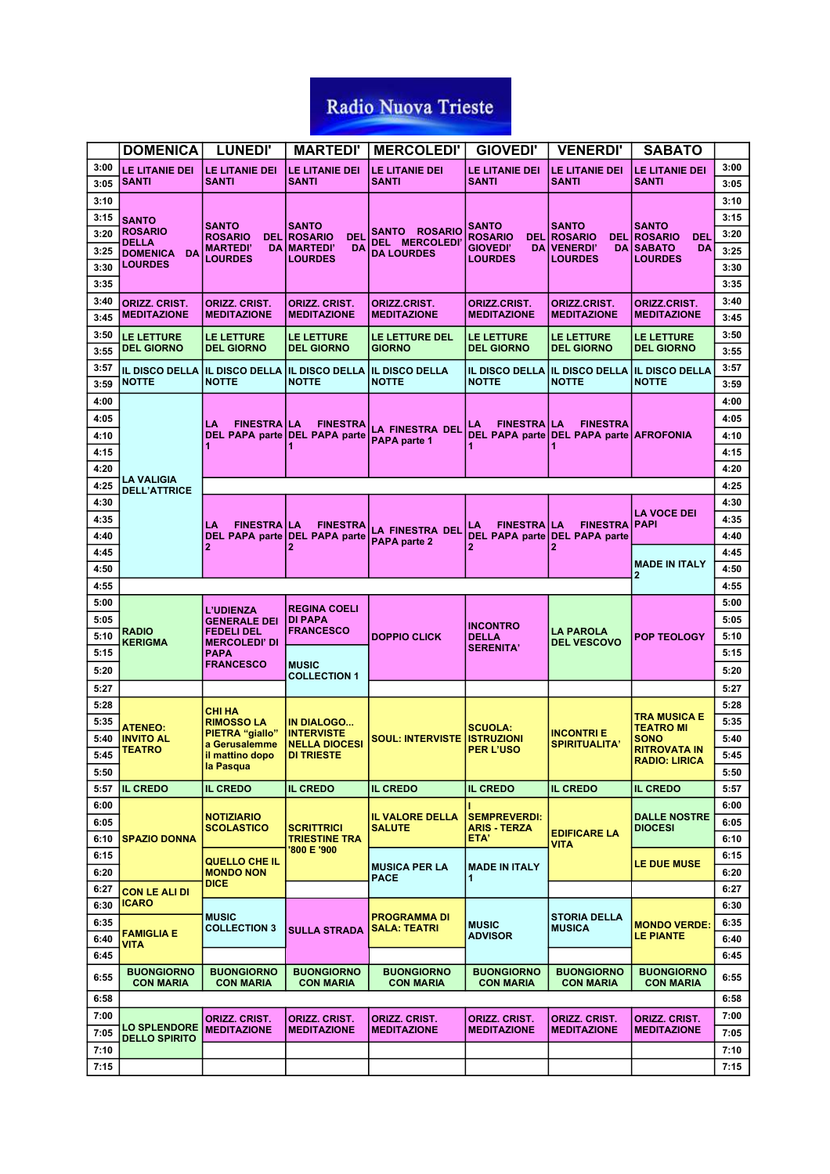|      | <b>DOMENICA</b>                       | <b>LUNEDI'</b>                          | <b>MARTEDI'</b>                            | <b>MERCOLEDI'</b>                       | <b>GIOVEDI'</b>                            | <b>VENERDI'</b>                         | <b>SABATO</b>                            |      |
|------|---------------------------------------|-----------------------------------------|--------------------------------------------|-----------------------------------------|--------------------------------------------|-----------------------------------------|------------------------------------------|------|
| 3:00 | LE LITANIE DEI                        | LE LITANIE DEI                          | LE LITANIE DEI                             | LE LITANIE DEI                          | LE LITANIE DEI                             | LE LITANIE DEI                          | LE LITANIE DEI                           | 3:00 |
| 3:05 | <b>SANTI</b>                          | <b>SANTI</b>                            | <b>SANTI</b>                               | SANTI                                   | SANTI                                      | <b>SANTI</b>                            | SANTI                                    | 3:05 |
| 3:10 |                                       |                                         |                                            |                                         |                                            |                                         |                                          | 3:10 |
| 3:15 | <b>SANTO</b>                          | <b>SANTO</b>                            | <b>SANTO</b>                               |                                         | SANTO                                      | <b>SANTO</b>                            | SANTO                                    | 3:15 |
| 3:20 | <b>ROSARIO</b><br><b>DELLA</b>        | <b>ROSARIO</b>                          | <b>DEL ROSARIO</b><br><b>DEL</b>           | SANTO ROSARIO<br><b>DEL MERCOLEDI</b>   | <b>ROSARIO</b>                             | <b>DEL ROSARIO</b>                      | <b>DEL ROSARIO</b><br><b>DEL</b>         | 3:20 |
| 3:25 | <b>DOMENICA</b><br>DA                 | <b>MARTEDI'</b><br><b>LOURDES</b>       | <b>DA MARTEDI'</b><br>DA<br><b>LOURDES</b> | <b>DA LOURDES</b>                       | <b>GIOVEDI'</b><br><b>LOURDES</b>          | DA VENERDI'<br><b>LOURDES</b>           | <b>DA SABATO</b><br>DA<br><b>LOURDES</b> | 3:25 |
| 3:30 | <b>LOURDES</b>                        |                                         |                                            |                                         |                                            |                                         |                                          | 3:30 |
| 3:35 |                                       |                                         |                                            |                                         |                                            |                                         |                                          | 3:35 |
| 3:40 | <b>ORIZZ. CRIST.</b>                  | ORIZZ. CRIST.                           | ORIZZ. CRIST.                              | ORIZZ.CRIST.                            | ORIZZ.CRIST.                               | <b>ORIZZ.CRIST.</b>                     | ORIZZ.CRIST.                             | 3:40 |
| 3:45 | <b>MEDITAZIONE</b>                    | <b>MEDITAZIONE</b>                      | <b>MEDITAZIONE</b>                         | <b>MEDITAZIONE</b>                      | <b>MEDITAZIONE</b>                         | <b>MEDITAZIONE</b>                      | <b>MEDITAZIONE</b>                       | 3:45 |
| 3:50 | <b>LE LETTURE</b>                     | LE LETTURE                              | <b>LE LETTURE</b>                          | <b>LE LETTURE DEL</b>                   | <b>LE LETTURE</b>                          | <b>LE LETTURE</b>                       | <b>LE LETTURE</b>                        | 3:50 |
| 3:55 | <b>DEL GIORNO</b>                     | <b>DEL GIORNO</b>                       | <b>DEL GIORNO</b>                          | GIORNO                                  | <b>DEL GIORNO</b>                          | <b>DEL GIORNO</b>                       | <b>DEL GIORNO</b>                        | 3:55 |
| 3:57 | <b>IL DISCO DELLA</b>                 | <b>IL DISCO DELLA</b>                   | <b>IL DISCO DELLA</b>                      | <b>IL DISCO DELLA</b>                   | <b>IL DISCO DELLA</b>                      | <b>IL DISCO DELLA</b>                   | <b>IL DISCO DELLA</b>                    | 3:57 |
| 3:59 | <b>NOTTE</b>                          | <b>NOTTE</b>                            | <b>NOTTE</b>                               | NOTTE                                   | <b>NOTTE</b>                               | <b>NOTTE</b>                            | <b>NOTTE</b>                             | 3:59 |
| 4:00 |                                       |                                         |                                            |                                         |                                            |                                         |                                          | 4:00 |
|      |                                       |                                         |                                            |                                         |                                            |                                         |                                          |      |
| 4:05 |                                       | LA<br><b>FINESTRA ILA</b>               | <b>FINESTRA</b>                            | LA FINESTRA DEL                         | <b>FINESTRA LA</b><br>LA                   | <b>FINESTRA</b>                         |                                          | 4:05 |
| 4:10 |                                       |                                         | DEL PAPA parte DEL PAPA parte<br>1         | PAPA parte 1                            |                                            | DEL PAPA parte DEL PAPA parte AFROFONIA |                                          | 4:10 |
| 4:15 |                                       |                                         |                                            |                                         |                                            |                                         |                                          | 4:15 |
| 4:20 | <b>LA VALIGIA</b>                     |                                         |                                            |                                         |                                            |                                         |                                          | 4:20 |
| 4:25 | <b>DELL'ATTRICE</b>                   |                                         |                                            |                                         |                                            |                                         |                                          | 4:25 |
| 4:30 |                                       |                                         |                                            |                                         |                                            |                                         |                                          | 4:30 |
| 4:35 |                                       | LA<br><b>FINESTRAILA</b>                | <b>FINESTRA</b>                            |                                         | <b>FINESTRAILA</b><br>LA                   | <b>FINESTRA PAPI</b>                    | <b>LA VOCE DEI</b>                       | 4:35 |
| 4:40 |                                       |                                         | DEL PAPA parte DEL PAPA parte              | LA FINESTRA DEL<br>PAPA parte 2         |                                            | DEL PAPA parte DEL PAPA parte           |                                          | 4:40 |
| 4:45 |                                       |                                         | 2                                          |                                         | $\overline{2}$                             | 2                                       |                                          | 4:45 |
| 4:50 |                                       |                                         |                                            |                                         |                                            |                                         | <b>MADE IN ITALY</b><br>$\mathbf{2}$     | 4:50 |
| 4:55 |                                       |                                         |                                            |                                         |                                            |                                         |                                          | 4:55 |
| 5:00 |                                       |                                         |                                            |                                         |                                            |                                         |                                          | 5:00 |
| 5:05 |                                       | <b>L'UDIENZA</b><br><b>GENERALE DEI</b> | <b>REGINA COELI</b><br>DI PAPA             |                                         |                                            |                                         |                                          | 5:05 |
| 5:10 | <b>RADIO</b>                          | <b>FEDELI DEL</b>                       | <b>FRANCESCO</b>                           | <b>DOPPIO CLICK</b>                     | INCONTRO<br>DELLA                          | <b>LA PAROLA</b>                        | <b>POP TEOLOGY</b>                       | 5:10 |
| 5:15 | <b>KERIGMA</b>                        | <b>MERCOLEDI' DI</b><br><b>PAPA</b>     |                                            |                                         | <b>SERENITA'</b>                           | <b>DEL VESCOVO</b>                      |                                          | 5:15 |
| 5:20 |                                       | <b>FRANCESCO</b>                        | <b>MUSIC</b>                               |                                         |                                            |                                         |                                          | 5:20 |
|      |                                       |                                         | <b>COLLECTION 1</b>                        |                                         |                                            |                                         |                                          |      |
| 5:27 |                                       |                                         |                                            |                                         |                                            |                                         |                                          | 5:27 |
| 5:28 |                                       | <b>CHI HA</b>                           |                                            |                                         |                                            |                                         | <b>TRA MUSICA E</b>                      | 5:28 |
| 5:35 | <b>ATENEO:</b>                        | <b>RIMOSSO LA</b><br>PIETRA "giallo"    | <b>IN DIALOGO</b><br><b>INTERVISTE</b>     |                                         | <b>SCUOLA:</b>                             | <b>INCONTRIE</b>                        | <b>TEATRO MI</b>                         | 5:35 |
| 5:40 | <b>INVITO AL</b><br>TEATRO            | a Gerusalemme                           | <b>NELLA DIOCESI</b>                       | <b>SOUL: INTERVISTE</b>                 | <b>ISTRUZIONI</b><br><b>PER L'USO</b>      | <b>SPIRITUALITA'</b>                    | <b>SONO</b><br><b>RITROVATA IN</b>       | 5:40 |
| 5:45 |                                       | il mattino dopo<br>la Pasqua            | <b>DI TRIESTE</b>                          |                                         |                                            |                                         | <b>RADIO: LIRICA</b>                     | 5:45 |
| 5:50 |                                       |                                         |                                            |                                         |                                            |                                         |                                          | 5:50 |
| 5:57 | <b>IL CREDO</b>                       | <b>IL CREDO</b>                         | <b>IL CREDO</b>                            | <b>IL CREDO</b>                         | <b>IL CREDO</b>                            | <b>IL CREDO</b>                         | <b>IL CREDO</b>                          | 5:57 |
| 6:00 |                                       |                                         |                                            |                                         |                                            |                                         |                                          | 6:00 |
| 6:05 |                                       | <b>NOTIZIARIO</b><br><b>SCOLASTICO</b>  | <b>SCRITTRICI</b>                          | <b>IL VALORE DELLA</b><br><b>SALUTE</b> | <b>SEMPREVERDI:</b><br><b>ARIS - TERZA</b> |                                         | <b>DALLE NOSTRE</b><br><b>DIOCESI</b>    | 6:05 |
| 6:10 | <b>SPAZIO DONNA</b>                   |                                         | <b>TRIESTINE TRA</b>                       |                                         | ETA'                                       | <b>EDIFICARE LA</b><br><b>VITA</b>      |                                          | 6:10 |
| 6:15 |                                       | <b>QUELLO CHE IL</b>                    | '800 E '900                                |                                         |                                            |                                         |                                          | 6:15 |
| 6:20 |                                       | <b>MONDO NON</b>                        |                                            | <b>MUSICA PER LA</b><br>PACE            | <b>MADE IN ITALY</b><br>1                  |                                         | <b>LE DUE MUSE</b>                       | 6:20 |
| 6:27 | <b>CON LE ALI DI</b>                  | <b>DICE</b>                             |                                            |                                         |                                            |                                         |                                          | 6:27 |
| 6:30 | <b>ICARO</b>                          |                                         |                                            |                                         |                                            |                                         |                                          | 6:30 |
| 6:35 |                                       | <b>MUSIC</b>                            |                                            | <b>PROGRAMMA DI</b>                     | <b>MUSIC</b>                               | <b>STORIA DELLA</b>                     | <b>MONDO VERDE:</b>                      | 6:35 |
| 6:40 | <b>FAMIGLIA E</b>                     | <b>COLLECTION 3</b>                     | <b>SULLA STRADA</b>                        | SALA: TEATRI                            | <b>ADVISOR</b>                             | <b>MUSICA</b>                           | LE PIANTE                                | 6:40 |
| 6:45 | VITA                                  |                                         |                                            |                                         |                                            |                                         |                                          | 6:45 |
| 6:55 | <b>BUONGIORNO</b><br><b>CON MARIA</b> | <b>BUONGIORNO</b><br><b>CON MARIA</b>   | <b>BUONGIORNO</b><br><b>CON MARIA</b>      | <b>BUONGIORNO</b><br><b>CON MARIA</b>   | <b>BUONGIORNO</b><br><b>CON MARIA</b>      | <b>BUONGIORNO</b><br><b>CON MARIA</b>   | <b>BUONGIORNO</b><br><b>CON MARIA</b>    | 6:55 |
| 6:58 |                                       |                                         |                                            |                                         |                                            |                                         |                                          | 6:58 |
|      |                                       |                                         |                                            |                                         |                                            |                                         |                                          |      |
| 7:00 | <b>LO SPLENDORE</b>                   | ORIZZ. CRIST.<br><b>MEDITAZIONE</b>     | <b>ORIZZ. CRIST.</b><br><b>MEDITAZIONE</b> | ORIZZ. CRIST.<br><b>MEDITAZIONE</b>     | ORIZZ. CRIST.<br><b>MEDITAZIONE</b>        | ORIZZ. CRIST.<br><b>MEDITAZIONE</b>     | ORIZZ, CRIST.<br><b>MEDITAZIONE</b>      | 7:00 |
| 7:05 | <b>DELLO SPIRITO</b>                  |                                         |                                            |                                         |                                            |                                         |                                          | 7:05 |
| 7:10 |                                       |                                         |                                            |                                         |                                            |                                         |                                          | 7:10 |
| 7:15 |                                       |                                         |                                            |                                         |                                            |                                         |                                          | 7:15 |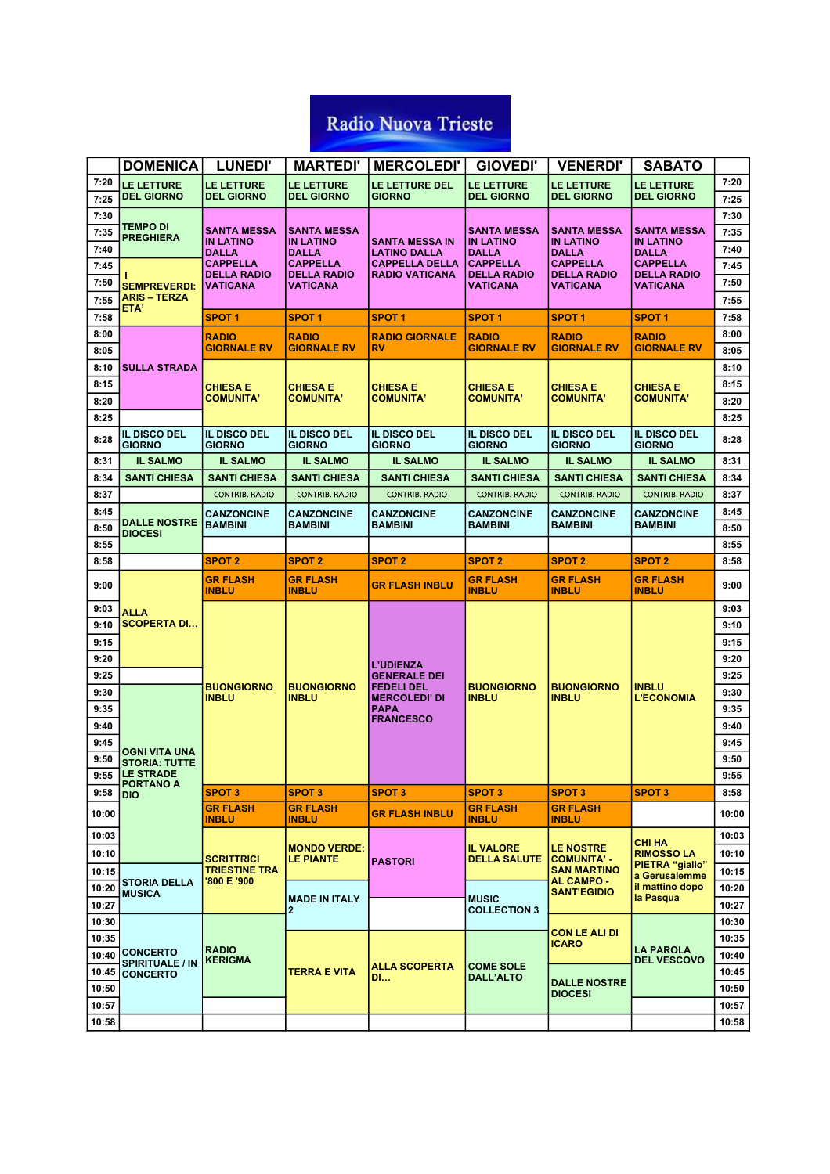|                | <b>DOMENICA</b>                          | <b>LUNEDI'</b>                        | <b>MARTEDI'</b>                        | <b>MERCOLEDI'</b>                            | <b>GIOVEDI'</b>                     | <b>VENERDI'</b>                          | <b>SABATO</b>                               |                |
|----------------|------------------------------------------|---------------------------------------|----------------------------------------|----------------------------------------------|-------------------------------------|------------------------------------------|---------------------------------------------|----------------|
| 7:20<br>7:25   | <b>LE LETTURE</b><br><b>DEL GIORNO</b>   | LE LETTURE<br><b>DEL GIORNO</b>       | <b>LE LETTURE</b><br><b>DEL GIORNO</b> | LE LETTURE DEL<br><b>GIORNO</b>              | LE LETTURE<br><b>DEL GIORNO</b>     | LE LETTURE<br><b>DEL GIORNO</b>          | <b>LE LETTURE</b><br><b>DEL GIORNO</b>      | 7:20<br>7:25   |
| 7:30           |                                          |                                       |                                        |                                              |                                     |                                          |                                             | 7:30           |
| 7:35           | <b>TEMPO DI</b><br><b>PREGHIERA</b>      | <b>SANTA MESSA</b>                    | <b>SANTA MESSA</b>                     |                                              | <b>SANTA MESSA</b>                  | <b>SANTA MESSA</b>                       | SANTA MESSA                                 | 7:35           |
| 7:40           |                                          | <b>IN LATINO</b><br><b>DALLA</b>      | <b>IN LATINO</b><br><b>DALLA</b>       | <b>SANTA MESSA IN</b><br><b>LATINO DALLA</b> | <b>IN LATINO</b><br><b>DALLA</b>    | <b>IN LATINO</b><br><b>DALLA</b>         | <b>IN LATINO</b><br><b>DALLA</b>            | 7:40           |
| 7:45           |                                          | <b>CAPPELLA</b>                       | <b>CAPPELLA</b>                        | <b>CAPPELLA DELLA</b>                        | <b>CAPPELLA</b>                     | <b>CAPPELLA</b>                          | <b>CAPPELLA</b>                             | 7:45           |
| 7:50           | <b>SEMPREVERDI:</b>                      | <b>DELLA RADIO</b><br><b>VATICANA</b> | <b>DELLA RADIO</b><br>VATICANA         | <b>RADIO VATICANA</b>                        | <b>DELLA RADIO</b><br>VATICANA      | <b>DELLA RADIO</b><br><b>VATICANA</b>    | <b>DELLA RADIO</b><br>VATICANA              | 7:50           |
| 7:55           | <b>ARIS - TERZA</b>                      |                                       |                                        |                                              |                                     |                                          |                                             | 7:55           |
| 7:58           | ETA'                                     | SPOT 1                                | <b>SPOT1</b>                           | <b>SPOT1</b>                                 | <b>SPOT1</b>                        | <b>SPOT1</b>                             | SPOT 1                                      | 7:58           |
| 8:00           |                                          | <b>RADIO</b>                          | <b>RADIO</b>                           | <b>RADIO GIORNALE</b>                        | <b>RADIO</b>                        | <b>RADIO</b>                             | <b>RADIO</b>                                | 8:00           |
| 8:05           |                                          | <b>GIORNALE RV</b>                    | <b>GIORNALE RV</b>                     | <b>RV</b>                                    | <b>GIORNALE RV</b>                  | <b>GIORNALE RV</b>                       | <b>GIORNALE RV</b>                          | 8:05           |
| 8:10           | <b>SULLA STRADA</b>                      |                                       |                                        |                                              |                                     |                                          |                                             | 8:10           |
| 8:15           |                                          | <b>CHIESA E</b>                       | <b>CHIESA E</b>                        | <b>CHIESA E</b>                              | <b>CHIESA E</b>                     | <b>CHIESA E</b>                          | <b>CHIESA E</b>                             | 8:15           |
| 8:20           |                                          | <b>COMUNITA'</b>                      | <b>COMUNITA'</b>                       | <b>COMUNITA'</b>                             | <b>COMUNITA'</b>                    | <b>COMUNITA'</b>                         | <b>COMUNITA'</b>                            | 8:20           |
| 8:25           |                                          |                                       |                                        |                                              |                                     |                                          |                                             | 8:25           |
| 8:28           | IL DISCO DEL<br><b>GIORNO</b>            | <b>IL DISCO DEL</b><br><b>GIORNO</b>  | IL DISCO DEL<br><b>GIORNO</b>          | <b>IL DISCO DEL</b><br><b>GIORNO</b>         | IL DISCO DEL<br><b>GIORNO</b>       | IL DISCO DEL<br><b>GIORNO</b>            | <b>IL DISCO DEL</b><br><b>GIORNO</b>        | 8:28           |
| 8:31           | <b>IL SALMO</b>                          | <b>IL SALMO</b>                       | <b>IL SALMO</b>                        | <b>IL SALMO</b>                              | <b>IL SALMO</b>                     | <b>IL SALMO</b>                          | <b>IL SALMO</b>                             | 8:31           |
| 8:34           | <b>SANTI CHIESA</b>                      | <b>SANTI CHIESA</b>                   | <b>SANTI CHIESA</b>                    | <b>SANTI CHIESA</b>                          | <b>SANTI CHIESA</b>                 | <b>SANTI CHIESA</b>                      | <b>SANTI CHIESA</b>                         | 8:34           |
| 8:37           |                                          | <b>CONTRIB. RADIO</b>                 | <b>CONTRIB. RADIO</b>                  | <b>CONTRIB. RADIO</b>                        | <b>CONTRIB. RADIO</b>               | <b>CONTRIB. RADIO</b>                    | <b>CONTRIB. RADIO</b>                       | 8:37           |
| 8:45           | <b>DALLE NOSTRE</b>                      | <b>CANZONCINE</b>                     | <b>CANZONCINE</b>                      | <b>CANZONCINE</b><br><b>BAMBINI</b>          | <b>CANZONCINE</b><br><b>BAMBINI</b> | <b>CANZONCINE</b>                        | CANZONCINE                                  | 8:45           |
| 8:50           | <b>DIOCESI</b>                           | <b>BAMBINI</b><br><b>BAMBINI</b>      |                                        |                                              |                                     | <b>BAMBINI</b>                           | <b>BAMBINI</b>                              | 8:50           |
| 8:55           |                                          |                                       |                                        |                                              |                                     |                                          |                                             | 8:55           |
| 8:58           |                                          | <b>SPOT 2</b>                         | <b>SPOT 2</b>                          | <b>SPOT 2</b>                                | <b>SPOT 2</b>                       | <b>SPOT 2</b>                            | <b>SPOT 2</b>                               | 8:58           |
| 9:00           |                                          | <b>GR FLASH</b><br><b>INBLU</b>       | <b>GR FLASH</b><br><b>INBLU</b>        | <b>GR FLASH INBLU</b>                        | <b>GR FLASH</b><br><b>INBLU</b>     | <b>GR FLASH</b><br><b>INBLU</b>          | <b>GR FLASH</b><br><b>INBLU</b>             | 9:00           |
|                |                                          |                                       |                                        |                                              |                                     |                                          |                                             |                |
| 9:03           | <b>ALLA</b>                              |                                       |                                        |                                              |                                     |                                          |                                             | 9:03           |
| 9:10           | <b>SCOPERTA DI</b>                       |                                       |                                        |                                              |                                     |                                          |                                             | 9:10           |
| 9:15           |                                          |                                       |                                        |                                              |                                     |                                          |                                             | 9:15           |
| 9:20           |                                          |                                       |                                        | <b>L'UDIENZA</b>                             |                                     |                                          |                                             | 9:20           |
| 9:25           |                                          |                                       |                                        | <b>GENERALE DEI</b>                          |                                     |                                          |                                             | 9:25           |
| 9:30           |                                          | <b>BUONGIORNO</b><br><b>INBLU</b>     | <b>BUONGIORNO</b><br><b>INBLU</b>      | <b>FEDELI DEL</b><br><b>MERCOLEDI' DI</b>    | <b>BUONGIORNO</b><br><b>INBLU</b>   | <b>BUONGIORNO</b><br><b>INBLU</b>        | INBLU<br><b>L'ECONOMIA</b>                  | 9:30           |
| 9:35           |                                          |                                       |                                        | <b>PAPA</b><br><b>FRANCESCO</b>              |                                     |                                          |                                             | 9:35           |
| 9:40           |                                          |                                       |                                        |                                              |                                     |                                          |                                             | 9:40           |
| 9:45           | OGNI VITA UNA                            |                                       |                                        |                                              |                                     |                                          |                                             | 9:45           |
| 9:50           | <b>STORIA: TUTTE</b><br><b>LE STRADE</b> |                                       |                                        |                                              |                                     |                                          |                                             | 9:50           |
| 9:55           | <b>PORTANO A</b>                         |                                       | <b>SPOT 3</b>                          |                                              |                                     | <b>SPOT3</b>                             |                                             | 9:55           |
| 9:58<br>10:00  | <b>DIO</b>                               | <b>SPOT 3</b><br><b>GR FLASH</b>      | <b>GR FLASH</b>                        | <b>SPOT 3</b><br><b>GR FLASH INBLU</b>       | <b>SPOT 3</b><br><b>GR FLASH</b>    | <b>GR FLASH</b>                          | <b>SPOT 3</b>                               | 8:58<br>10:00  |
| 10:03          |                                          | <b>INBLU</b>                          | <b>INBLU</b>                           |                                              | <b>INBLU</b>                        | <b>INBLU</b>                             |                                             | 10:03          |
|                |                                          |                                       | <b>MONDO VERDE:</b>                    |                                              | <b>IL VALORE</b>                    | <b>LE NOSTRE</b>                         | СНІ НА                                      |                |
| 10:10          |                                          | SCRITTRICI<br>TRIESTINE TRA           | <b>LE PIANTE</b>                       | <b>PASTORI</b>                               | <b>DELLA SALUTE</b>                 | <b>COMUNITA' -</b><br><b>SAN MARTINO</b> | <b>RIMOSSO LA</b><br><b>PIETRA</b> "giallo" | 10:10          |
| 10:15          | <b>STORIA DELLA</b>                      | '800 E '900                           |                                        |                                              |                                     | <b>AL CAMPO -</b>                        | a Gerusalemme<br>il mattino dopo            | 10:15          |
| 10:20          | <b>MUSICA</b>                            |                                       | <b>MADE IN ITALY</b>                   |                                              | <b>MUSIC</b>                        | <b>SANT'EGIDIO</b>                       | la Pasqua                                   | 10:20          |
| 10:27<br>10:30 |                                          |                                       | 2                                      |                                              | <b>COLLECTION 3</b>                 |                                          |                                             | 10:27<br>10:30 |
| 10:35          |                                          |                                       |                                        |                                              |                                     | <b>CON LE ALI DI</b>                     |                                             | 10:35          |
|                | 10:40 CONCERTO                           | <b>RADIO</b>                          |                                        |                                              |                                     | <b>ICARO</b>                             | <b>LA PAROLA</b>                            | 10:40          |
| 10:45          | <b>SPIRITUALE / IN</b>                   | <b>KERIGMA</b>                        | TERRA E VITA                           | <b>ALLA SCOPERTA</b>                         | <b>COME SOLE</b>                    |                                          | <b>DEL VESCOVO</b>                          | 10:45          |
| 10:50          | <b>CONCERTO</b>                          |                                       |                                        | <b>DI</b>                                    | <b>DALL'ALTO</b>                    | <b>DALLE NOSTRE</b>                      |                                             | 10:50          |
| 10:57          |                                          |                                       |                                        |                                              |                                     | <b>DIOCESI</b>                           |                                             | 10:57          |
| 10:58          |                                          |                                       |                                        |                                              |                                     |                                          |                                             | 10:58          |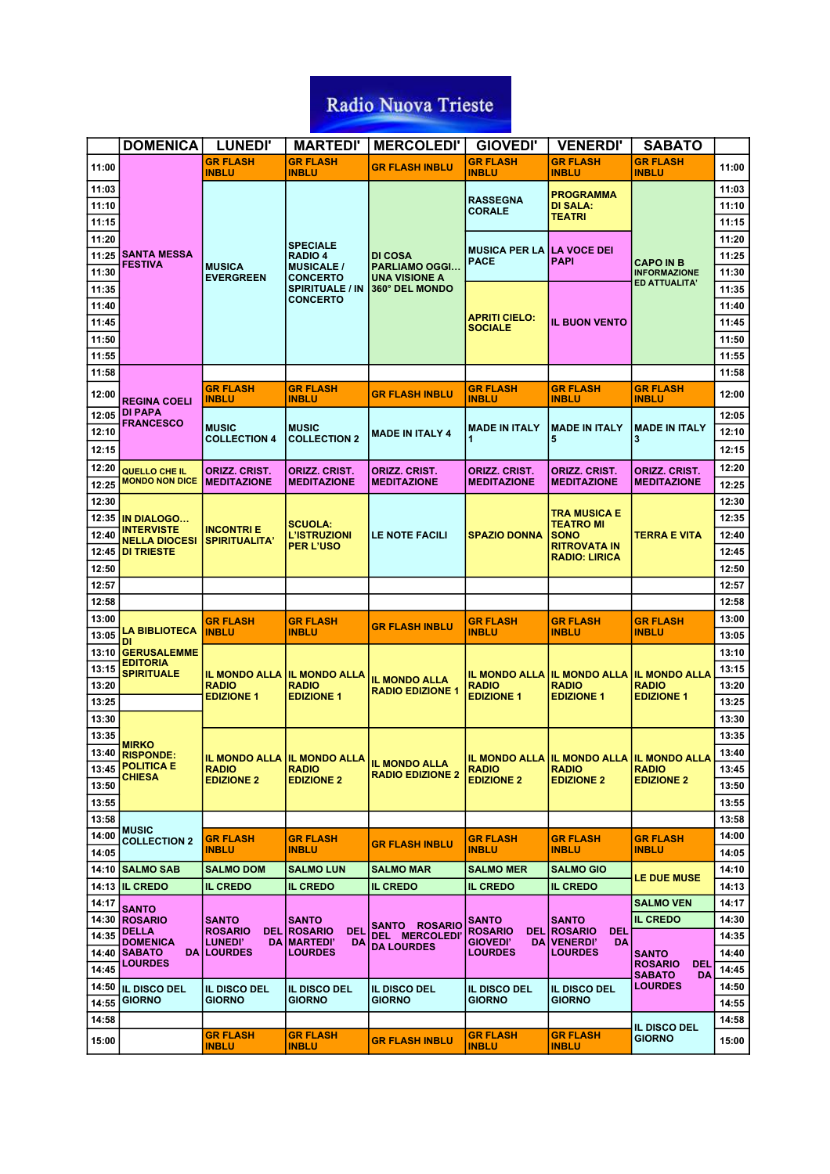|       | <b>DOMENICA</b>                           | <b>LUNEDI'</b>                      | <b>MARTEDI'</b>                            | <b>MERCOLEDI'</b>                               | <b>GIOVEDI'</b>                           | <b>VENERDI'</b>                             | <b>SABATO</b>                         |                |
|-------|-------------------------------------------|-------------------------------------|--------------------------------------------|-------------------------------------------------|-------------------------------------------|---------------------------------------------|---------------------------------------|----------------|
| 11:00 |                                           | <b>GR FLASH</b><br><b>INBLU</b>     | <b>GR FLASH</b><br><b>INBLU</b>            | <b>GR FLASH INBLU</b>                           | <b>GR FLASH</b><br><b>INBLU</b>           | <b>GR FLASH</b><br><b>INBLU</b>             | <b>GR FLASH</b><br><b>INBLU</b>       | 11:00          |
| 11:03 |                                           |                                     |                                            |                                                 |                                           | <b>PROGRAMMA</b>                            |                                       | 11:03          |
| 11:10 |                                           |                                     |                                            |                                                 | <b>RASSEGNA</b><br><b>CORALE</b>          | <b>DI SALA:</b>                             |                                       | 11:10          |
| 11:15 |                                           |                                     |                                            |                                                 |                                           | <b>TEATRI</b>                               |                                       | 11:15          |
| 11:20 |                                           |                                     | <b>SPECIALE</b>                            |                                                 |                                           |                                             |                                       | 11:20          |
| 11:25 | <b>SANTA MESSA</b>                        |                                     | <b>RADIO 4</b>                             | DI COSA                                         | <b>MUSICA PER LA I</b><br><b>PACE</b>     | <b>LA VOCE DEI</b><br>PAPI                  | CAPO IN B                             | 11:25          |
| 11:30 | <b>FESTIVA</b>                            | <b>MUSICA</b><br><b>EVERGREEN</b>   | <b>MUSICALE /</b><br><b>CONCERTO</b>       | <b>PARLIAMO OGGI</b><br><b>UNA VISIONE A</b>    |                                           |                                             | <b>INFORMAZIONE</b>                   | 11:30          |
| 11:35 |                                           |                                     | <b>SPIRITUALE / IN</b>                     | 360° DEL MONDO                                  |                                           |                                             | ED ATTUALITA'                         | 11:35          |
| 11:40 |                                           |                                     | <b>CONCERTO</b>                            |                                                 |                                           |                                             |                                       | 11:40          |
| 11:45 |                                           |                                     |                                            |                                                 | <b>APRITI CIELO:</b><br><b>SOCIALE</b>    | <b>IL BUON VENTO</b>                        |                                       | 11:45          |
| 11:50 |                                           |                                     |                                            |                                                 |                                           |                                             |                                       | 11:50          |
| 11:55 |                                           |                                     |                                            |                                                 |                                           |                                             |                                       | 11:55          |
| 11:58 |                                           |                                     |                                            |                                                 |                                           |                                             |                                       | 11:58          |
| 12:00 | <b>REGINA COELI</b>                       | <b>GR FLASH</b><br>INBLU            | GR FLASH<br><b>INBLU</b>                   | <u>GR FLASH INBLU</u>                           | <u>GR FLASH</u><br><b>INBLU</b>           | <b>GR FLASH</b><br><b>INBLU</b>             | GR FLASH<br><b>INBLU</b>              | 12:00          |
| 12:05 | <b>DI PAPA</b>                            |                                     |                                            |                                                 |                                           |                                             |                                       | 12:05          |
| 12:10 | <b>FRANCESCO</b>                          | <b>MUSIC</b>                        | <b>MUSIC</b>                               | <b>MADE IN ITALY 4</b>                          | <b>MADE IN ITALY</b>                      | <b>MADE IN ITALY</b>                        | <b>MADE IN ITALY</b>                  | 12:10          |
| 12:15 |                                           | <b>COLLECTION 4</b>                 | <b>COLLECTION 2</b>                        |                                                 | 1                                         | 5                                           | 3                                     | 12:15          |
| 12:20 | QUELLO CHE IL                             | ORIZZ. CRIST.                       | ORIZZ. CRIST.                              | ORIZZ. CRIST.                                   | <b>ORIZZ. CRIST.</b>                      | ORIZZ. CRIST.                               | ORIZZ, CRIST.                         | 12:20          |
| 12:25 | <b>MONDO NON DICE</b>                     | <b>MEDITAZIONE</b>                  | <b>MEDITAZIONE</b>                         | <b>MEDITAZIONE</b>                              | <b>MEDITAZIONE</b>                        | <b>MEDITAZIONE</b>                          | <b>MEDITAZIONE</b>                    | 12:25          |
| 12:30 |                                           |                                     |                                            |                                                 |                                           |                                             |                                       | 12:30          |
|       | 12:35 IN DIALOGO                          |                                     |                                            |                                                 |                                           | TRA MUSICA E                                |                                       | 12:35          |
| 12:40 | <b>INTERVISTE</b><br><b>NELLA DIOCESI</b> | INCONTRI E                          | <b>SCUOLA:</b><br>L'ISTRUZIONI             | LE NOTE FACILI                                  | <b>SPAZIO DONNA</b>                       | <b>TEATRO MI</b><br><b>SONO</b>             | TERRA E VITA                          | 12:40          |
|       | 12:45   DI TRIESTE                        | <b>SPIRITUALITA'</b>                | <b>PER L'USO</b>                           |                                                 |                                           | <b>RITROVATA IN</b><br><b>RADIO: LIRICA</b> |                                       | 12:45          |
| 12:50 |                                           |                                     |                                            |                                                 |                                           |                                             |                                       | 12:50          |
| 12:57 |                                           |                                     |                                            |                                                 |                                           |                                             |                                       | 12:57          |
| 12:58 |                                           |                                     |                                            |                                                 |                                           |                                             |                                       | 12:58          |
| 13:00 |                                           | <b>GR FLASH</b>                     | <b>GR FLASH</b>                            |                                                 | <u>GR FLASH</u>                           | <b>GR FLASH</b>                             | <b>GR FLASH</b>                       | 13:00          |
| 13:05 | LA BIBLIOTECA<br>DI                       | <b>INBLU</b>                        | <b>INBLU</b>                               | <b>GR FLASH INBLU</b>                           | <b>INBLU</b>                              | <b>INBLU</b>                                | <b>INBLU</b>                          | 13:05          |
|       | 13:10 GERUSALEMME                         |                                     |                                            |                                                 |                                           |                                             |                                       | 13:10          |
| 13:15 | <b>EDITORIA</b><br><b>SPIRITUALE</b>      | IL MONDO ALLA                       | <b>IL MONDO ALLA</b>                       |                                                 | <b>IL MONDO ALLA</b>                      | <b>IL MONDO ALLA</b>                        | <b>IL MONDO ALLA</b>                  | 13:15          |
| 13:20 |                                           | <b>RADIO</b>                        | <b>RADIO</b>                               | <b>IL MONDO ALLA</b><br><b>RADIO EDIZIONE 1</b> | <b>RADIO</b>                              | <b>RADIO</b>                                | <b>RADIO</b>                          | 13:20          |
| 13:25 |                                           | <b>EDIZIONE 1</b>                   | <b>EDIZIONE 1</b>                          |                                                 | <b>EDIZIONE 1</b>                         | <b>EDIZIONE 1</b>                           | <b>EDIZIONE 1</b>                     | 13:25          |
| 13:30 |                                           |                                     |                                            |                                                 |                                           |                                             |                                       | 13:30          |
| 13:35 | <b>MIRKO</b>                              |                                     |                                            |                                                 |                                           |                                             |                                       | 13:35          |
| 13:40 | <b>RISPONDE:</b>                          |                                     |                                            | IL MONDO ALLA IL MONDO ALLA IL MONDO ALLA       | IL MONDO ALLA IL MONDO ALLA IL MONDO ALLA |                                             |                                       | 13:40          |
|       | 13:45 POLITICA E<br><b>CHIESA</b>         | <b>RADIO</b><br><b>EDIZIONE 2</b>   | <b>RADIO</b><br><b>EDIZIONE 2</b>          | <b>RADIO EDIZIONE 2</b>                         | <b>RADIO</b><br><b>EDIZIONE 2</b>         | <b>RADIO</b><br><b>EDIZIONE 2</b>           | <b>RADIO</b><br><b>EDIZIONE 2</b>     | 13:45          |
| 13:50 |                                           |                                     |                                            |                                                 |                                           |                                             |                                       | 13:50          |
| 13:55 |                                           |                                     |                                            |                                                 |                                           |                                             |                                       | 13:55          |
| 13:58 | <b>MUSIC</b>                              |                                     |                                            |                                                 |                                           |                                             |                                       | 13:58          |
| 14:00 | <b>COLLECTION 2</b>                       | <b>GR FLASH</b><br><b>INBLU</b>     | <b>GR FLASH</b><br><b>INBLU</b>            | <b>GR FLASH INBLU</b>                           | <b>GR FLASH</b><br><b>INBLU</b>           | <b>GR FLASH</b><br><b>INBLU</b>             | <b>GR FLASH</b><br><b>INBLU</b>       | 14:00          |
| 14:05 |                                           |                                     |                                            |                                                 |                                           |                                             |                                       | 14:05          |
|       | 14:10 SALMO SAB                           | <b>SALMO DOM</b>                    | <b>SALMO LUN</b>                           | <b>SALMO MAR</b>                                | <b>SALMO MER</b>                          | <b>SALMO GIO</b>                            | <b>LE DUE MUSE</b>                    | 14:10          |
| 14:17 | <b>14:13 IL CREDO</b>                     | <b>IL CREDO</b>                     | <b>IL CREDO</b>                            | <b>IL CREDO</b>                                 | <b>IL CREDO</b>                           | <b>IL CREDO</b>                             | <b>SALMO VEN</b>                      | 14:13<br>14:17 |
|       | <b>SANTO</b>                              |                                     |                                            |                                                 |                                           | <b>SANTO</b>                                | <b>IL CREDO</b>                       | 14:30          |
| 14:35 | 14:30 ROSARIO<br><b>DELLA</b>             | <b>SANTO</b><br><b>ROSARIO</b>      | <b>SANTO</b><br><b>DEL ROSARIO</b><br>DEL  | <b>SANTO ROSARIO</b><br><b>DEL MERCOLEDI</b>    | <b>SANTO</b><br><b>ROSARIO</b>            | <b>DEL ROSARIO</b><br><b>DEL</b>            |                                       | 14:35          |
|       | <b>DOMENICA</b><br>14:40 SABATO           | <b>LUNEDI'</b><br><b>DA LOURDES</b> | <b>DA MARTEDI'</b><br>DA<br><b>LOURDES</b> | <b>DA LOURDES</b>                               | <b>GIOVEDI'</b><br><b>LOURDES</b>         | DA VENERDI'<br><b>DA</b><br><b>LOURDES</b>  | <b>SANTO</b>                          | 14:40          |
| 14:45 | <b>LOURDES</b>                            |                                     |                                            |                                                 |                                           |                                             | <b>ROSARIO</b><br><b>DEL</b>          | 14:45          |
| 14:50 |                                           |                                     |                                            |                                                 |                                           |                                             | <b>SABATO</b><br>DA<br><b>LOURDES</b> | 14:50          |
| 14:55 | IL DISCO DEL<br><b>GIORNO</b>             | IL DISCO DEL<br><b>GIORNO</b>       | <b>IL DISCO DEL</b><br><b>GIORNO</b>       | IL DISCO DEL<br><b>GIORNO</b>                   | IL DISCO DEL<br><b>GIORNO</b>             | <b>IL DISCO DEL</b><br><b>GIORNO</b>        |                                       | 14:55          |
| 14:58 |                                           |                                     |                                            |                                                 |                                           |                                             |                                       | 14:58          |
|       |                                           | <b>GR FLASH</b>                     | <b>GR FLASH</b>                            |                                                 | <b>GR FLASH</b>                           | <b>GR FLASH</b>                             | IL DISCO DEL<br><b>GIORNO</b>         |                |
| 15:00 |                                           | <b>INBLU</b>                        | <b>INBLU</b>                               | <b>GR FLASH INBLU</b>                           | <b>INBLU</b>                              | <b>INBLU</b>                                |                                       | 15:00          |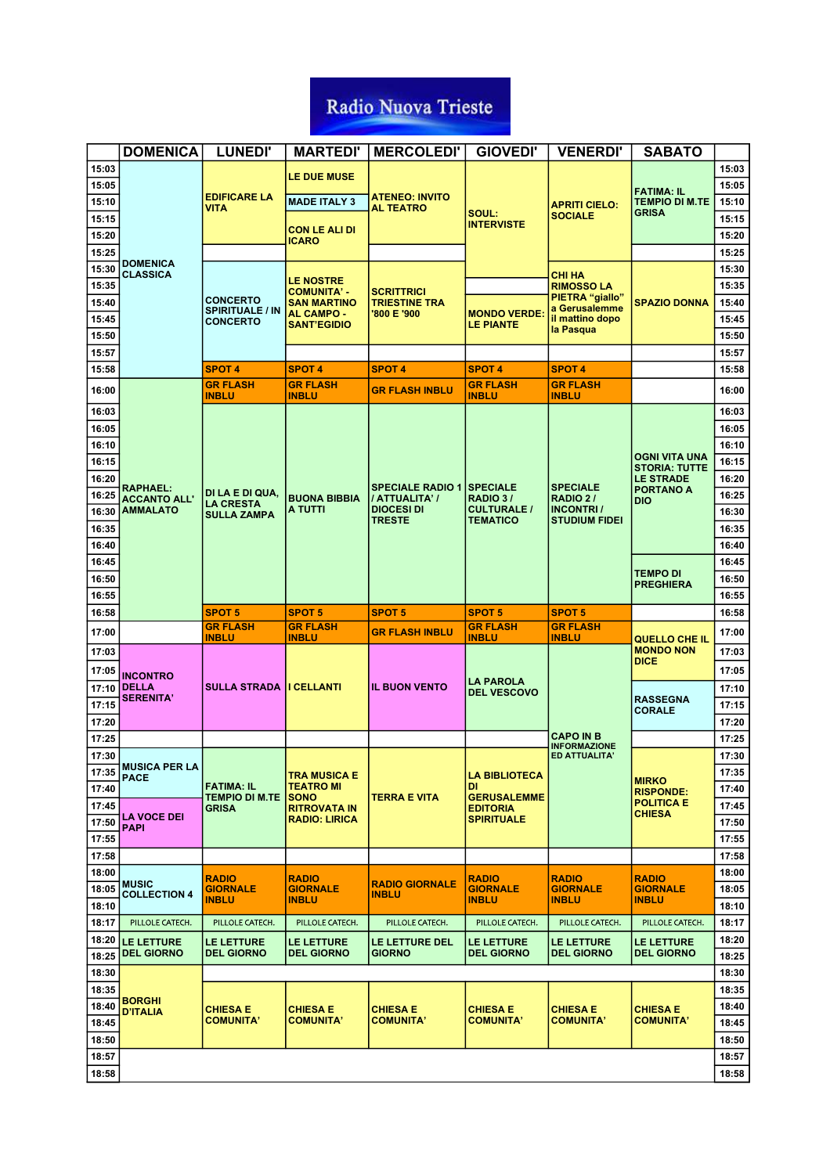|                | <b>DOMENICA</b>                     | <b>LUNEDI'</b>                            | <b>MARTEDI'</b>                         | <b>MERCOLEDI'</b>                         | <b>GIOVEDI'</b>                        | <b>VENERDI'</b>                           | <b>SABATO</b>                                |                |
|----------------|-------------------------------------|-------------------------------------------|-----------------------------------------|-------------------------------------------|----------------------------------------|-------------------------------------------|----------------------------------------------|----------------|
| 15:03          |                                     |                                           | <b>LE DUE MUSE</b>                      |                                           |                                        |                                           |                                              | 15:03          |
| 15:05          |                                     |                                           |                                         |                                           |                                        |                                           | <b>FATIMA: IL</b>                            | 15:05          |
| 15:10          |                                     | <b>EDIFICARE LA</b><br>VITA               | <b>MADE ITALY 3</b>                     | <b>ATENEO: INVITO</b><br><b>AL TEATRO</b> |                                        | <b>APRITI CIELO:</b>                      | <b>TEMPIO DI M.TE</b>                        | 15:10          |
| 15:15          |                                     |                                           |                                         |                                           | SOUL:<br><b>INTERVISTE</b>             | <b>SOCIALE</b>                            | <b>GRISA</b>                                 | 15:15          |
| 15:20          |                                     |                                           | <b>CON LE ALI DI</b><br>ICARO           |                                           |                                        |                                           |                                              | 15:20          |
| 15:25          |                                     |                                           |                                         |                                           |                                        |                                           |                                              | 15:25          |
| 15:30          | <b>DOMENICA</b><br><b>CLASSICA</b>  |                                           |                                         |                                           |                                        | <b>CHI HA</b>                             |                                              | 15:30          |
| 15:35          |                                     |                                           | <b>LE NOSTRE</b><br><b>COMUNITA' -</b>  | <b>SCRITTRICI</b>                         |                                        | <b>RIMOSSO LA</b>                         |                                              | 15:35          |
| 15:40          |                                     | <b>CONCERTO</b><br><b>SPIRITUALE / IN</b> | <b>SAN MARTINO</b><br><b>AL CAMPO -</b> | <b>TRIESTINE TRA</b><br>'800 E '900       | <b>MONDO VERDE</b>                     | PIETRA "giallo"<br>a Gerusalemme          | <b>SPAZIO DONNA</b>                          | 15:40          |
| 15:45          |                                     | <b>CONCERTO</b>                           | <b>SANT'EGIDIO</b>                      |                                           | <b>LE PIANTE</b>                       | il mattino dopo<br>la Pasqua              |                                              | 15:45          |
| 15:50          |                                     |                                           |                                         |                                           |                                        |                                           |                                              | 15:50          |
| 15:57          |                                     |                                           |                                         |                                           |                                        |                                           |                                              | 15:57          |
| 15:58          |                                     | <b>SPOT 4</b>                             | <b>SPOT 4</b>                           | <b>SPOT 4</b>                             | <b>SPOT 4</b>                          | <b>SPOT 4</b>                             |                                              | 15:58          |
| 16:00          |                                     | <b>GR FLASH</b><br><b>INBLU</b>           | <b>GR FLASH</b><br><b>INBLU</b>         | <b>GR FLASH INBLU</b>                     | <b>GR FLASH</b><br><b>INBLU</b>        | <b>GR FLASH</b><br><b>INBLU</b>           |                                              | 16:00          |
| 16:03          |                                     |                                           |                                         |                                           |                                        |                                           |                                              | 16:03          |
| 16:05          |                                     |                                           |                                         |                                           |                                        |                                           |                                              | 16:05          |
| 16:10          |                                     |                                           |                                         |                                           |                                        |                                           |                                              | 16:10          |
| 16:15          |                                     |                                           |                                         |                                           |                                        |                                           | <b>OGNI VITA UNA</b><br><b>STORIA: TUTTE</b> | 16:15          |
| 16:20          | <b>RAPHAEL:</b>                     |                                           |                                         | <b>SPECIALE RADIO 1</b>                   | <b>SPECIALE</b>                        | <b>SPECIALE</b>                           | <b>LE STRADE</b><br><b>PORTANO A</b>         | 16:20          |
| 16:25          | <b>ACCANTO ALL'</b>                 | DI LA E DI QUA,<br><b>LA CRESTA</b>       | <b>BUONA BIBBIA</b>                     | / ATTUALITA' /                            | RADIO 3/                               | RADIO 2/                                  | <b>DIO</b>                                   | 16:25          |
| 16:30          | <b>AMMALATO</b>                     | <b>SULLA ZAMPA</b>                        | <b>A TUTTI</b>                          | <b>DIOCESI DI</b><br><b>TRESTE</b>        | <b>CULTURALE /</b><br><b>TEMATICO</b>  | <b>INCONTRI</b> /<br><b>STUDIUM FIDEI</b> |                                              | 16:30          |
| 16:35          |                                     |                                           |                                         |                                           |                                        |                                           |                                              | 16:35          |
| 16:40          |                                     |                                           |                                         |                                           |                                        |                                           |                                              | 16:40          |
| 16:45          |                                     |                                           |                                         |                                           |                                        |                                           | <b>TEMPO DI</b>                              | 16:45          |
| 16:50          |                                     |                                           |                                         |                                           |                                        |                                           | <b>PREGHIERA</b>                             | 16:50          |
| 16:55          |                                     |                                           |                                         |                                           |                                        |                                           |                                              | 16:55          |
|                |                                     |                                           |                                         |                                           |                                        |                                           |                                              |                |
| 16:58          |                                     | <b>SPOT 5</b>                             | <b>SPOT 5</b>                           | <b>SPOT 5</b>                             | <b>SPOT 5</b>                          | <b>SPOT 5</b>                             |                                              | 16:58          |
| 17:00          |                                     | <b>GR FLASH</b><br><b>INBLU</b>           | <b>GR FLASH</b><br><b>INBLU</b>         | <b>GR FLASH INBLU</b>                     | <b>GR FLASH</b><br><b>INBLU</b>        | <b>GR FLASH</b><br><b>INBLU</b>           | <b>QUELLO CHE IL</b>                         | 17:00          |
| 17:03          |                                     |                                           |                                         |                                           |                                        |                                           | <b>MONDO NON</b>                             | 17:03          |
| 17:05          | <b>INCONTRO</b>                     |                                           |                                         |                                           |                                        |                                           | <b>DICE</b>                                  | 17:05          |
| 17:10          | <b>DELLA</b>                        | <b>SULLA STRADA</b>                       | <b>II CELLANTI</b>                      | <b>IL BUON VENTO</b>                      | <b>LA PAROLA</b><br><b>DEL VESCOVO</b> |                                           |                                              | 17:10          |
| 17:15          | <b>SERENITA'</b>                    |                                           |                                         |                                           |                                        |                                           | <b>RASSEGNA</b><br><b>CORALE</b>             | 17:15          |
| 17:20          |                                     |                                           |                                         |                                           |                                        |                                           |                                              | 17:20          |
| 17:25          |                                     |                                           |                                         |                                           |                                        | <b>CAPO IN B</b><br><b>INFORMAZIONE</b>   |                                              | 17:25          |
| 17:30          |                                     |                                           |                                         |                                           |                                        | ED ATTUALITA'                             |                                              | 17:30          |
| 17:35          | <b>MUSICA PER LA</b><br><b>PACE</b> |                                           | <b>TRA MUSICA E</b>                     |                                           | <b>LA BIBLIOTECA</b>                   |                                           | <b>MIRKO</b>                                 | 17:35          |
| 17:40          |                                     | FATIMA: IL<br>TEMPIO DI M.TE              | <b>TEATRO MI</b><br><b>SONO</b>         | TERRA E VITA                              | <b>DI</b><br><b>GERUSALEMME</b>        |                                           | <b>RISPONDE:</b>                             | 17:40          |
| 17:45          | <b>LA VOCE DEI</b>                  | <b>GRISA</b>                              | <b>RITROVATA IN</b>                     |                                           | <b>EDITORIA</b>                        |                                           | <b>POLITICA E</b><br><b>CHIESA</b>           | 17:45          |
| 17:50          | <b>PAPI</b>                         |                                           | <b>RADIO: LIRICA</b>                    |                                           | <b>SPIRITUALE</b>                      |                                           |                                              | 17:50          |
| 17:55          |                                     |                                           |                                         |                                           |                                        |                                           |                                              | 17:55          |
| 17:58          |                                     |                                           |                                         |                                           |                                        |                                           |                                              | 17:58          |
| 18:00          | <b>MUSIC</b>                        | <b>RADIO</b>                              | <b>RADIO</b>                            | <b>RADIO GIORNALE</b>                     | <b>RADIO</b>                           | <b>RADIO</b>                              | <b>RADIO</b>                                 | 18:00          |
| 18:05          | <b>COLLECTION 4</b>                 | <b>GIORNALE</b><br><b>INBLU</b>           | <b>GIORNALE</b><br><b>INBLU</b>         | <b>INBLU</b>                              | <b>GIORNALE</b><br><b>INBLU</b>        | <b>GIORNALE</b><br><b>INBLU</b>           | <b>GIORNALE</b><br><b>INBLU</b>              | 18:05          |
| 18:10<br>18:17 | PILLOLE CATECH.                     | PILLOLE CATECH.                           | PILLOLE CATECH.                         | PILLOLE CATECH.                           | PILLOLE CATECH.                        | PILLOLE CATECH.                           | PILLOLE CATECH.                              | 18:10<br>18:17 |
| 18:20          | <b>LE LETTURE</b>                   | <b>LE LETTURE</b>                         | <b>LE LETTURE</b>                       | <b>LE LETTURE DEL</b>                     | LE LETTURE                             | <b>LE LETTURE</b>                         | <b>LE LETTURE</b>                            | 18:20          |
| 18:25          | <b>DEL GIORNO</b>                   | <b>DEL GIORNO</b>                         | <b>DEL GIORNO</b>                       | <b>GIORNO</b>                             | <b>DEL GIORNO</b>                      | <b>DEL GIORNO</b>                         | <b>DEL GIORNO</b>                            | 18:25          |
| 18:30          |                                     |                                           |                                         |                                           |                                        |                                           |                                              | 18:30          |
| 18:35          |                                     |                                           |                                         |                                           |                                        |                                           |                                              | 18:35          |
| 18:40          | <b>BORGHI</b><br><b>D'ITALIA</b>    | <b>CHIESA E</b>                           | <b>CHIESA E</b>                         | <b>CHIESA E</b>                           | <b>CHIESA E</b>                        | <b>CHIESA E</b>                           | <b>CHIESA E</b>                              | 18:40          |
| 18:45          |                                     | <b>COMUNITA'</b>                          | <b>COMUNITA'</b>                        | <b>COMUNITA'</b>                          | <b>COMUNITA'</b>                       | <b>COMUNITA'</b>                          | <b>COMUNITA'</b>                             | 18:45          |
| 18:50          |                                     |                                           |                                         |                                           |                                        |                                           |                                              | 18:50          |
| 18:57          |                                     |                                           |                                         |                                           |                                        |                                           |                                              | 18:57          |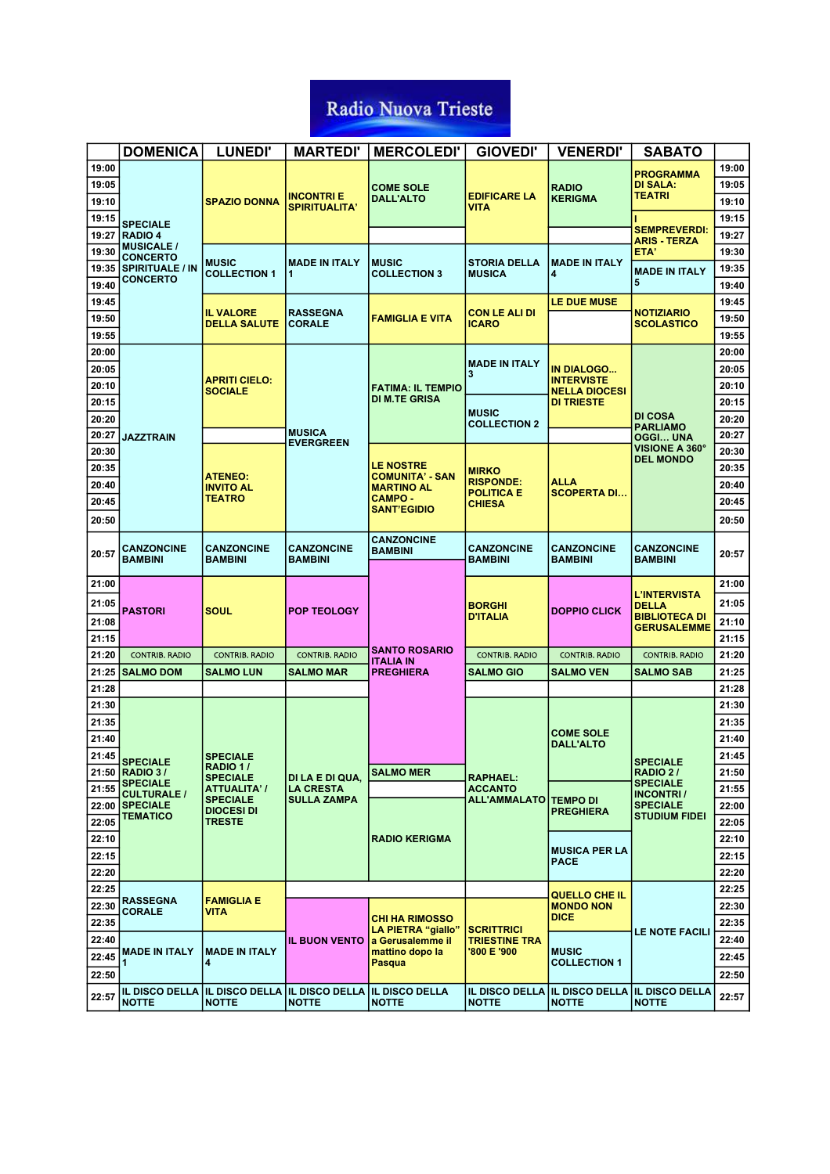|       | <b>DOMENICA</b>                           | <b>LUNEDI'</b>                         | <b>MARTEDI'</b>                     | <b>MERCOLEDI'</b>                           | <b>GIOVEDI'</b>                           | <b>VENERDI'</b>                           | <b>SABATO</b>                       |       |
|-------|-------------------------------------------|----------------------------------------|-------------------------------------|---------------------------------------------|-------------------------------------------|-------------------------------------------|-------------------------------------|-------|
| 19:00 |                                           |                                        |                                     |                                             |                                           |                                           | <b>PROGRAMMA</b>                    | 19:00 |
| 19:05 |                                           |                                        |                                     | <b>COME SOLE</b>                            |                                           | <b>RADIO</b>                              | <b>DI SALA:</b>                     | 19:05 |
| 19:10 |                                           | <b>SPAZIO DONNA</b>                    | <b>INCONTRI E</b>                   | <b>DALL'ALTO</b>                            | <b>EDIFICARE LA</b>                       | <b>KERIGMA</b>                            | TEATRI                              | 19:10 |
| 19:15 |                                           |                                        | <b>SPIRITUALITA'</b>                |                                             | <b>VITA</b>                               |                                           |                                     | 19:15 |
| 19:27 | <b>SPECIALE</b><br><b>RADIO 4</b>         |                                        |                                     |                                             |                                           |                                           | <b>SEMPREVERDI:</b>                 | 19:27 |
| 19:30 | <b>MUSICALE /</b>                         |                                        |                                     |                                             |                                           |                                           | <b>ARIS - TERZA</b><br>ETA'         | 19:30 |
| 19:35 | <b>CONCERTO</b><br><b>SPIRITUALE / IN</b> | <b>MUSIC</b>                           | <b>MADE IN ITALY</b>                | <b>MUSIC</b>                                | <b>STORIA DELLA</b>                       | <b>MADE IN ITALY</b>                      | <b>MADE IN ITALY</b>                | 19:35 |
| 19:40 | <b>CONCERTO</b>                           | <b>COLLECTION 1</b>                    | 1                                   | <b>COLLECTION 3</b>                         | <b>MUSICA</b>                             | 4                                         | 5                                   | 19:40 |
| 19:45 |                                           |                                        |                                     |                                             |                                           | <b>LE DUE MUSE</b>                        |                                     | 19:45 |
| 19:50 |                                           | <b>IL VALORE</b>                       | <b>RASSEGNA</b>                     | <b>FAMIGLIA E VITA</b>                      | <b>CON LE ALI DI</b>                      |                                           | <b>NOTIZIARIO</b>                   | 19:50 |
| 19:55 |                                           | <b>DELLA SALUTE</b>                    | <b>CORALE</b>                       |                                             | <b>ICARO</b>                              |                                           | <b>SCOLASTICO</b>                   | 19:55 |
| 20:00 |                                           |                                        |                                     |                                             |                                           |                                           |                                     | 20:00 |
| 20:05 |                                           |                                        |                                     |                                             | <b>MADE IN ITALY</b>                      | <b>IN DIALOGO</b>                         |                                     | 20:05 |
| 20:10 |                                           | <b>APRITI CIELO:</b>                   |                                     | <b>FATIMA: IL TEMPIO</b>                    | 3                                         | <b>INTERVISTE</b>                         |                                     | 20:10 |
| 20:15 |                                           | <b>SOCIALE</b>                         |                                     | DI M.TE GRISA                               |                                           | <b>NELLA DIOCESI</b><br><b>DI TRIESTE</b> |                                     | 20:15 |
| 20:20 |                                           |                                        |                                     |                                             | <b>MUSIC</b><br><b>COLLECTION 2</b>       |                                           | DI COSA                             | 20:20 |
| 20:27 | <b>JAZZTRAIN</b>                          |                                        | <b>MUSICA</b>                       |                                             |                                           |                                           | <b>PARLIAMO</b><br>OGGI UNA         | 20:27 |
| 20:30 |                                           |                                        | <b>EVERGREEN</b>                    |                                             |                                           |                                           | <b>VISIONE A 360°</b>               | 20:30 |
| 20:35 |                                           |                                        |                                     | <b>LE NOSTRE</b>                            | <b>MIRKO</b>                              |                                           | <b>DEL MONDO</b>                    | 20:35 |
| 20:40 |                                           | <b>ATENEO:</b><br><b>INVITO AL</b>     |                                     | <b>COMUNITA' - SAN</b><br><b>MARTINO AL</b> | <b>RISPONDE:</b>                          | <b>ALLA</b>                               |                                     | 20:40 |
| 20:45 |                                           | <b>TEATRO</b>                          |                                     | <b>CAMPO-</b>                               | <b>POLITICA E</b><br><b>CHIESA</b>        | <b>SCOPERTA DI</b>                        |                                     | 20:45 |
| 20:50 |                                           |                                        |                                     | <b>SANT'EGIDIO</b>                          |                                           |                                           |                                     | 20:50 |
|       |                                           |                                        |                                     | <b>CANZONCINE</b>                           |                                           |                                           |                                     |       |
| 20:57 | <b>CANZONCINE</b>                         | <b>CANZONCINE</b>                      | <b>CANZONCINE</b>                   | <b>BAMBINI</b>                              | <b>CANZONCINE</b>                         | <b>CANZONCINE</b>                         | CANZONCINE                          | 20:57 |
|       | <b>BAMBINI</b>                            | <b>BAMBINI</b>                         | <b>BAMBINI</b>                      |                                             | <b>BAMBINI</b>                            | <b>BAMBINI</b>                            | BAMBINI                             |       |
| 21:00 |                                           |                                        |                                     |                                             |                                           |                                           |                                     | 21:00 |
| 21:05 |                                           |                                        |                                     |                                             | <b>BORGHI</b>                             |                                           | L'INTERVISTA<br>DELLA               | 21:05 |
| 21:08 | <b>PASTORI</b>                            | <b>SOUL</b>                            | <b>POP TEOLOGY</b>                  |                                             | <b>D'ITALIA</b>                           | <b>DOPPIO CLICK</b>                       | BIBLIOTECA DI                       | 21:10 |
| 21:15 |                                           |                                        |                                     |                                             |                                           |                                           | <b>GERUSALEMME</b>                  | 21:15 |
| 21:20 | <b>CONTRIB. RADIO</b>                     | <b>CONTRIB. RADIO</b>                  | <b>CONTRIB. RADIO</b>               | <b>SANTO ROSARIO</b>                        | <b>CONTRIB. RADIO</b>                     | <b>CONTRIB. RADIO</b>                     | <b>CONTRIB. RADIO</b>               | 21:20 |
|       | 21:25 SALMO DOM                           | <b>SALMO LUN</b>                       | <b>SALMO MAR</b>                    | <b>ITALIA IN</b><br><b>PREGHIERA</b>        | <b>SALMO GIO</b>                          | <b>SALMO VEN</b>                          | SALMO SAB                           | 21:25 |
| 21:28 |                                           |                                        |                                     |                                             |                                           |                                           |                                     | 21:28 |
| 21:30 |                                           |                                        |                                     |                                             |                                           |                                           |                                     | 21:30 |
| 21:35 |                                           |                                        |                                     |                                             |                                           |                                           |                                     | 21:35 |
| 21:40 |                                           |                                        |                                     |                                             |                                           | <b>COME SOLE</b>                          |                                     | 21:40 |
| 21:45 |                                           | <b>SPECIALE</b>                        |                                     |                                             |                                           | <b>DALL'ALTO</b>                          |                                     | 21:45 |
|       | <b>SPECIALE</b><br>21:50 RADIO 3/         | <b>RADIO 17</b>                        |                                     | <b>SALMO MER</b>                            |                                           |                                           | <b>SPECIALE</b><br><b>RADIO 2/</b>  | 21:50 |
| 21:55 | <b>SPECIALE</b>                           | <b>SPECIALE</b><br><b>ATTUALITA' /</b> | DI LA E DI QUA,<br><b>LA CRESTA</b> |                                             | <b>RAPHAEL:</b><br><b>ACCANTO</b>         |                                           | <b>SPECIALE</b>                     | 21:55 |
|       | <b>CULTURALE /</b><br>22:00 SPECIALE      | <b>SPECIALE</b>                        | <b>SULLA ZAMPA</b>                  |                                             | ALL'AMMALATO   TEMPO DI                   |                                           | <b>INCONTRI/</b><br><b>SPECIALE</b> | 22:00 |
| 22:05 | <b>TEMATICO</b>                           | <b>DIOCESI DI</b><br><b>TRESTE</b>     |                                     |                                             |                                           | <b>PREGHIERA</b>                          | <b>STUDIUM FIDEI</b>                | 22:05 |
| 22:10 |                                           |                                        |                                     | <b>RADIO KERIGMA</b>                        |                                           |                                           |                                     | 22:10 |
| 22:15 |                                           |                                        |                                     |                                             |                                           | <b>MUSICA PER LA</b>                      |                                     | 22:15 |
| 22:20 |                                           |                                        |                                     |                                             |                                           | <b>PACE</b>                               |                                     | 22:20 |
| 22:25 |                                           |                                        |                                     |                                             |                                           |                                           |                                     | 22:25 |
| 22:30 | <b>RASSEGNA</b>                           | <b>FAMIGLIA E</b>                      |                                     |                                             |                                           | QUELLO CHE IL<br><b>MONDO NON</b>         |                                     | 22:30 |
| 22:35 | <b>CORALE</b>                             | VITA                                   |                                     | <b>CHI HA RIMOSSO</b>                       |                                           | <b>DICE</b>                               |                                     | 22:35 |
| 22:40 |                                           |                                        | <b>IL BUON VENTO</b>                | LA PIETRA "giallo"<br>a Gerusalemme il      | <b>SCRITTRICI</b><br><b>TRIESTINE TRA</b> |                                           | <b>LE NOTE FACILI</b>               | 22:40 |
| 22:45 | <b>MADE IN ITALY</b>                      | <b>MADE IN ITALY</b>                   |                                     | mattino dopo la                             | '800 E '900                               | <b>MUSIC</b>                              |                                     | 22:45 |
| 22:50 | 1                                         | 4                                      |                                     | Pasqua                                      |                                           | <b>COLLECTION 1</b>                       |                                     | 22:50 |
|       | <b>IL DISCO DELLA</b>                     | <b>IL DISCO DELLA</b>                  | <b>IL DISCO DELLA</b>               | <b>IL DISCO DELLA</b>                       |                                           | IL DISCO DELLA IL DISCO DELLA             | <b>IL DISCO DELLA</b>               |       |
| 22:57 | <b>NOTTE</b>                              | <b>NOTTE</b>                           | <b>NOTTE</b>                        | <b>NOTTE</b>                                | <b>NOTTE</b>                              | <b>NOTTE</b>                              | <b>NOTTE</b>                        | 22:57 |